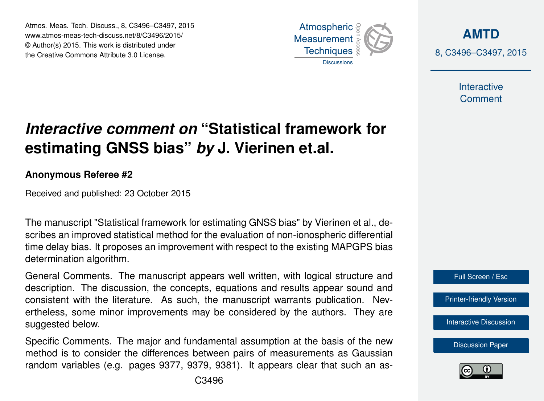Atmos. Meas. Tech. Discuss., 8, C3496–C3497, 2015 www.atmos-meas-tech-discuss.net/8/C3496/2015/ © Author(s) 2015. This work is distributed under the Creative Commons Attribute 3.0 License.



**[AMTD](http://www.atmos-meas-tech-discuss.net)** 8, C3496–C3497, 2015

> Interactive **Comment**

## *Interactive comment on* **"Statistical framework for estimating GNSS bias"** *by* **J. Vierinen et.al.**

## **Anonymous Referee #2**

Received and published: 23 October 2015

The manuscript "Statistical framework for estimating GNSS bias" by Vierinen et al., describes an improved statistical method for the evaluation of non-ionospheric differential time delay bias. It proposes an improvement with respect to the existing MAPGPS bias determination algorithm.

General Comments. The manuscript appears well written, with logical structure and description. The discussion, the concepts, equations and results appear sound and consistent with the literature. As such, the manuscript warrants publication. Nevertheless, some minor improvements may be considered by the authors. They are suggested below.

Specific Comments. The major and fundamental assumption at the basis of the new method is to consider the differences between pairs of measurements as Gaussian random variables (e.g. pages 9377, 9379, 9381). It appears clear that such an asFull Screen / Esc

[Interactive Discussion](http://www.atmos-meas-tech-discuss.net/8/9373/2015/amtd-8-9373-2015-discussion.html)

[Discussion Paper](http://www.atmos-meas-tech-discuss.net/8/9373/2015/amtd-8-9373-2015.pdf)